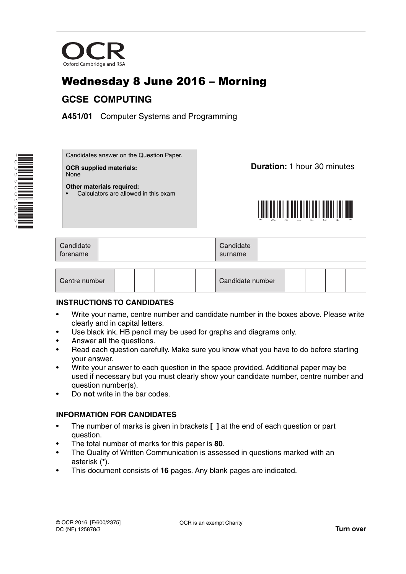

# Wednesday 8 June 2016 – Morning **GCSE COMPUTING**

**A451/01** Computer Systems and Programming



Candidates answer on the Question Paper.

• Calculators are allowed in this exam

**OCR supplied materials:** None

**Other materials required:**

**Duration:** 1 hour 30 minutes



| Candidate<br>torename |  | Candidate<br>surname |  |
|-----------------------|--|----------------------|--|
|-----------------------|--|----------------------|--|

| Centre number |  |  |  |  |  | Candidate number |  |  |  |  |  |
|---------------|--|--|--|--|--|------------------|--|--|--|--|--|
|---------------|--|--|--|--|--|------------------|--|--|--|--|--|

## **INSTRUCTIONS TO CANDIDATES**

- Write your name, centre number and candidate number in the boxes above. Please write clearly and in capital letters.
- Use black ink. HB pencil may be used for graphs and diagrams only.
- Answer **all** the questions.
- Read each question carefully. Make sure you know what you have to do before starting your answer.
- Write your answer to each question in the space provided. Additional paper may be used if necessary but you must clearly show your candidate number, centre number and question number(s).
- Do **not** write in the bar codes.

## **INFORMATION FOR CANDIDATES**

- The number of marks is given in brackets **[ ]** at the end of each question or part question.
- The total number of marks for this paper is **80**.
- The Quality of Written Communication is assessed in questions marked with an asterisk (**\***).
- This document consists of **16** pages. Any blank pages are indicated.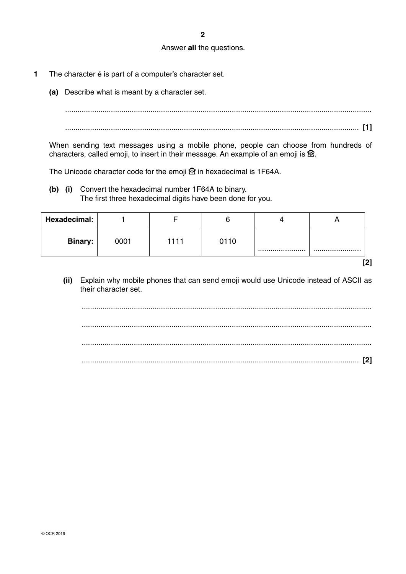#### Answer **all** the questions.

- **1** The character é is part of a computer's character set.
	- **(a)** Describe what is meant by a character set.

 ................................................................................................................................................... ............................................................................................................................................. **[1]**

When sending text messages using a mobile phone, people can choose from hundreds of characters, called emoji, to insert in their message. An example of an emoji is  $\mathbb{R}$ .

The Unicode character code for the emoji  $\mathfrak A$  in hexadecimal is 1F64A.

 **(b) (i)** Convert the hexadecimal number 1F64A to binary. The first three hexadecimal digits have been done for you.

| Hexadecimal: |      |      |      |      |
|--------------|------|------|------|------|
| Binary:      | 0001 | 1111 | 0110 | <br> |
|              |      |      |      |      |

 **(ii)** Explain why mobile phones that can send emoji would use Unicode instead of ASCII as their character set.

 ........................................................................................................................................... ........................................................................................................................................... ........................................................................................................................................... ..................................................................................................................................... **[2]**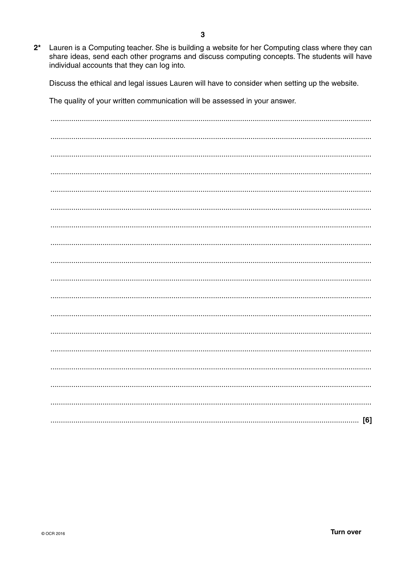$2^*$ Lauren is a Computing teacher. She is building a website for her Computing class where they can share ideas, send each other programs and discuss computing concepts. The students will have individual accounts that they can log into.

Discuss the ethical and legal issues Lauren will have to consider when setting up the website.

The quality of your written communication will be assessed in your answer.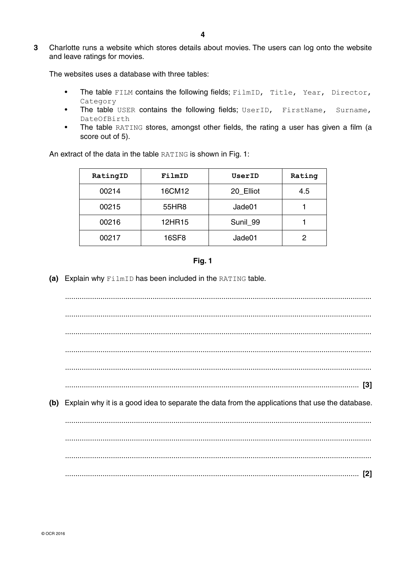**3** Charlotte runs a website which stores details about movies. The users can log onto the website and leave ratings for movies.

The websites uses a database with three tables:

- The table FILM contains the following fields; FilmID, Title, Year, Director, Category
- The table USER contains the following fields; UserID, FirstName, Surname, DateOfBirth
- The table RATING stores, amongst other fields, the rating a user has given a film (a score out of 5).

An extract of the data in the table RATING is shown in Fig. 1:

| RatingID | FilmID | UserID    | Rating |
|----------|--------|-----------|--------|
| 00214    | 16CM12 | 20 Elliot | 4.5    |
| 00215    | 55HR8  | Jade01    |        |
| 00216    | 12HR15 | Sunil 99  |        |
| 00217    | 16SF8  | Jade01    | 2      |



 **(a)** Explain why FilmID has been included in the RATING table.

 ................................................................................................................................................... ................................................................................................................................................... ................................................................................................................................................... ................................................................................................................................................... ................................................................................................................................................... ............................................................................................................................................. **[3] (b)** Explain why it is a good idea to separate the data from the applications that use the database. ................................................................................................................................................... ................................................................................................................................................... ................................................................................................................................................... ............................................................................................................................................. **[2]**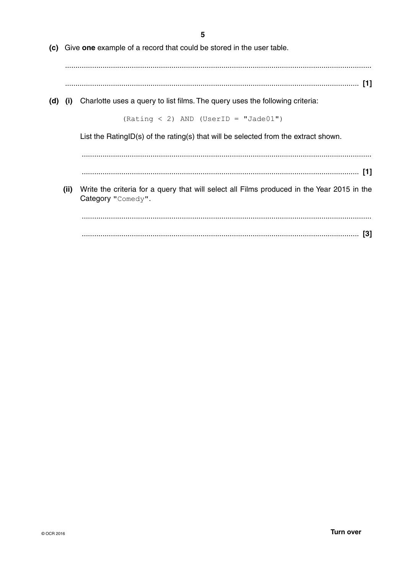5

(c) Give one example of a record that could be stored in the user table.

- 
- (d) (i) Charlotte uses a query to list films. The query uses the following criteria:

 $(Rating < 2)$  AND (UserID = "Jade01")

List the RatingID(s) of the rating(s) that will be selected from the extract shown.

- 
- (ii) Write the criteria for a query that will select all Films produced in the Year 2015 in the Category "Comedy".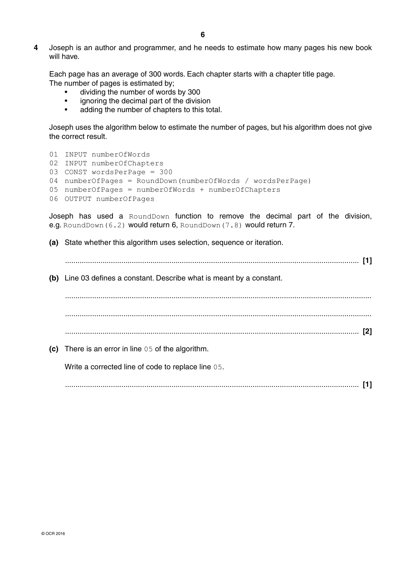**4** Joseph is an author and programmer, and he needs to estimate how many pages his new book will have.

Each page has an average of 300 words. Each chapter starts with a chapter title page. The number of pages is estimated by;

- dividing the number of words by 300
- ignoring the decimal part of the division
- adding the number of chapters to this total.

Joseph uses the algorithm below to estimate the number of pages, but his algorithm does not give the correct result.

 01 INPUT numberOfWords 02 INPUT numberOfChapters 03 CONST wordsPerPage = 300 04 numberOfPages = RoundDown(numberOfWords / wordsPerPage) 05 numberOfPages = numberOfWords + numberOfChapters 06 OUTPUT numberOfPages

Joseph has used a RoundDown function to remove the decimal part of the division, e.g. RoundDown(6.2) would return 6, RoundDown(7.8) would return 7.

 **(a)** State whether this algorithm uses selection, sequence or iteration.

 ............................................................................................................................................. **[1] (b)** Line 03 defines a constant. Describe what is meant by a constant. ................................................................................................................................................... ................................................................................................................................................... ............................................................................................................................................. **[2] (c)** There is an error in line 05 of the algorithm. **Write a corrected line of code to replace line 05.** ............................................................................................................................................. **[1]**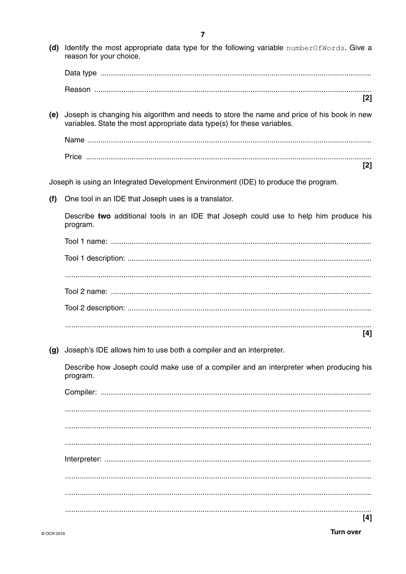(d) Identify the most appropriate data type for the following variable number  $OfWords$ . Give a reason for your choice.  $\lceil 2 \rceil$ (e) Joseph is changing his algorithm and needs to store the name and price of his book in new variables. State the most appropriate data type(s) for these variables. [2] Joseph is using an Integrated Development Environment (IDE) to produce the program. One tool in an IDE that Joseph uses is a translator.  $(f)$ Describe two additional tools in an IDE that Joseph could use to help him produce his program.  $[4]$ (g) Joseph's IDE allows him to use both a compiler and an interpreter. Describe how Joseph could make use of a compiler and an interpreter when producing his program. 

 $[4]$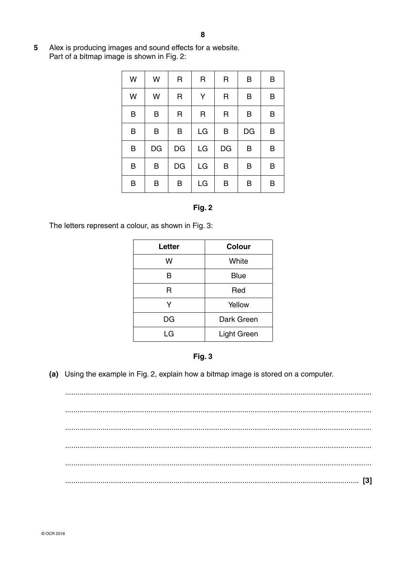Alex is producing images and sound effects for a website. 5 Part of a bitmap image is shown in Fig. 2:

| W | W  | R  | R  | R  | B  | B |
|---|----|----|----|----|----|---|
| W | W  | R  | Υ  | R  | B  | B |
| B | B  | R  | R  | R  | B  | B |
| B | B  | B  | LG | B  | DG | B |
| B | DG | DG | LG | DG | B  | B |
| B | B  | DG | LG | B  | B  | B |
| B | B  | B  | LG | B  | B  | В |

#### Fig. 2

The letters represent a colour, as shown in Fig. 3:

| Letter | <b>Colour</b> |
|--------|---------------|
| w      | White         |
| R      | <b>Blue</b>   |
| R      | Red           |
| Y      | Yellow        |
| DG     | Dark Green    |
| LG     | Light Green   |



(a) Using the example in Fig. 2, explain how a bitmap image is stored on a computer.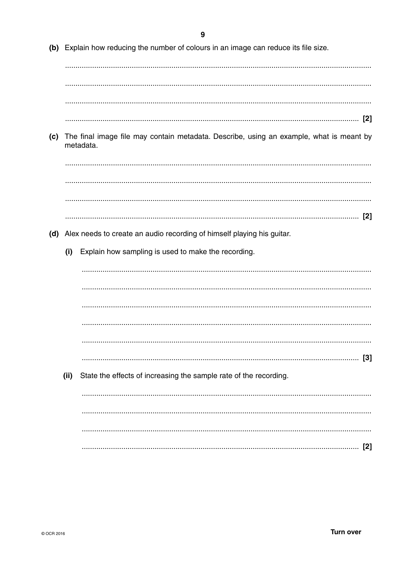(b) Explain how reducing the number of colours in an image can reduce its file size. (c) The final image file may contain metadata. Describe, using an example, what is meant by metadata. (d) Alex needs to create an audio recording of himself playing his guitar. Explain how sampling is used to make the recording.  $(i)$  $[3]$  $(ii)$ State the effects of increasing the sample rate of the recording.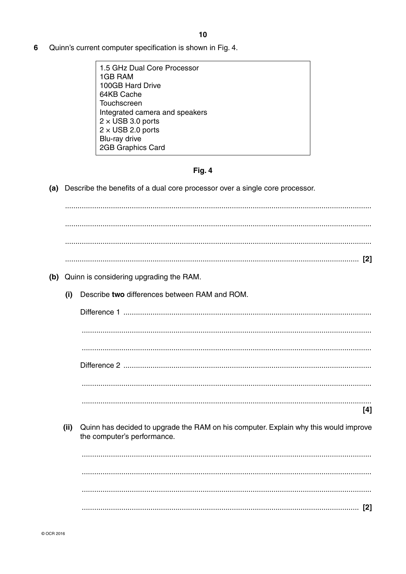- 6 Quinn's current computer specification is shown in Fig. 4.
	- 1.5 GHz Dual Core Processor 1GB RAM 100GB Hard Drive 64KB Cache Touchscreen Integrated camera and speakers  $2 \times$  USB 3.0 ports  $2 \times$  USB 2.0 ports Blu-ray drive **2GB Graphics Card**

#### Fig. 4

(a) Describe the benefits of a dual core processor over a single core processor.

(b) Quinn is considering upgrading the RAM. Describe two differences between RAM and ROM.  $(i)$  $[4]$ (ii) Quinn has decided to upgrade the RAM on his computer. Explain why this would improve the computer's performance.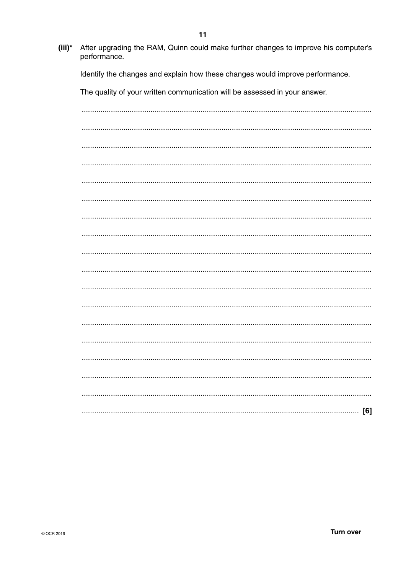- $11$
- $(iii)^*$ After upgrading the RAM, Quinn could make further changes to improve his computer's performance.

Identify the changes and explain how these changes would improve performance.

The quality of your written communication will be assessed in your answer.

| [6] |
|-----|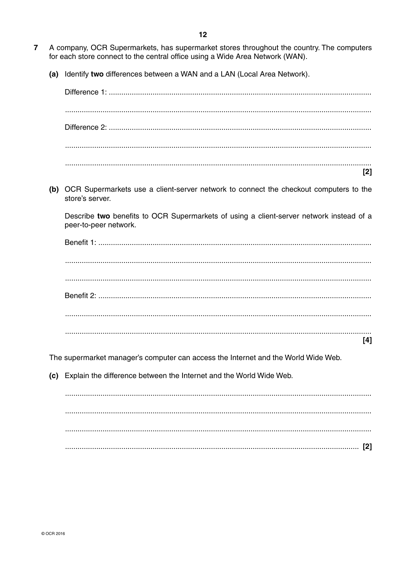- $\overline{7}$ A company, OCR Supermarkets, has supermarket stores throughout the country. The computers for each store connect to the central office using a Wide Area Network (WAN).
	- (a) Identify two differences between a WAN and a LAN (Local Area Network).



The supermarket manager's computer can access the Internet and the World Wide Web.

(c) Explain the difference between the Internet and the World Wide Web.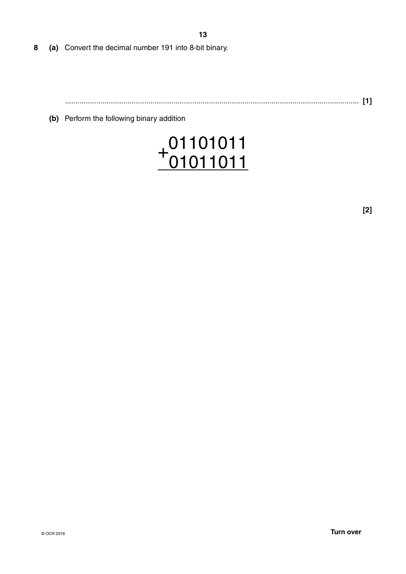- **13**
- **8 (a)** Convert the decimal number 191 into 8-bit binary.

............................................................................................................................................. **[1]**

 **(b)** Perform the following binary addition

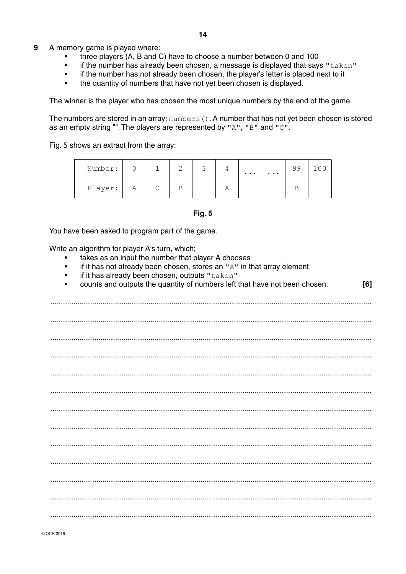- 9 A memory game is played where:
	- three players (A, B and C) have to choose a number between 0 and 100
	- $\bullet$ if the number has already been chosen, a message is displayed that says "taken"
	- $\bullet$ if the number has not already been chosen, the player's letter is placed next to it
	- the quantity of numbers that have not yet been chosen is displayed.  $\bullet$

The winner is the player who has chosen the most unique numbers by the end of the game.

The numbers are stored in an array;  $\text{number}(t)$ . A number that has not yet been chosen is stored as an empty string "". The players are represented by "A", "B" and "C".

Fig. 5 shows an extract from the array:

| Number: |   |             | ×. |   | $\cdots$ | $\cdots$ | 99 |  |
|---------|---|-------------|----|---|----------|----------|----|--|
| Player: | Α | $\sim$<br>◡ |    | ∽ |          |          |    |  |

#### **Fig. 5**

You have been asked to program part of the game.

Write an algorithm for player A's turn, which;

- takes as an input the number that player A chooses
- if it has not already been chosen, stores an "A" in that array element  $\bullet$
- $\bullet$ if it has already been chosen, outputs "taken"
- counts and outputs the quantity of numbers left that have not been chosen.  $[6]$  $\bullet$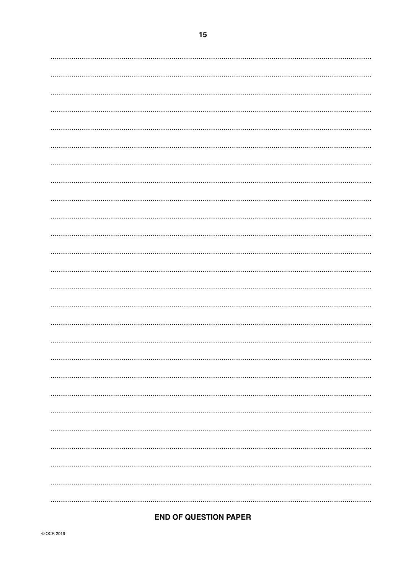# **END OF QUESTION PAPER**